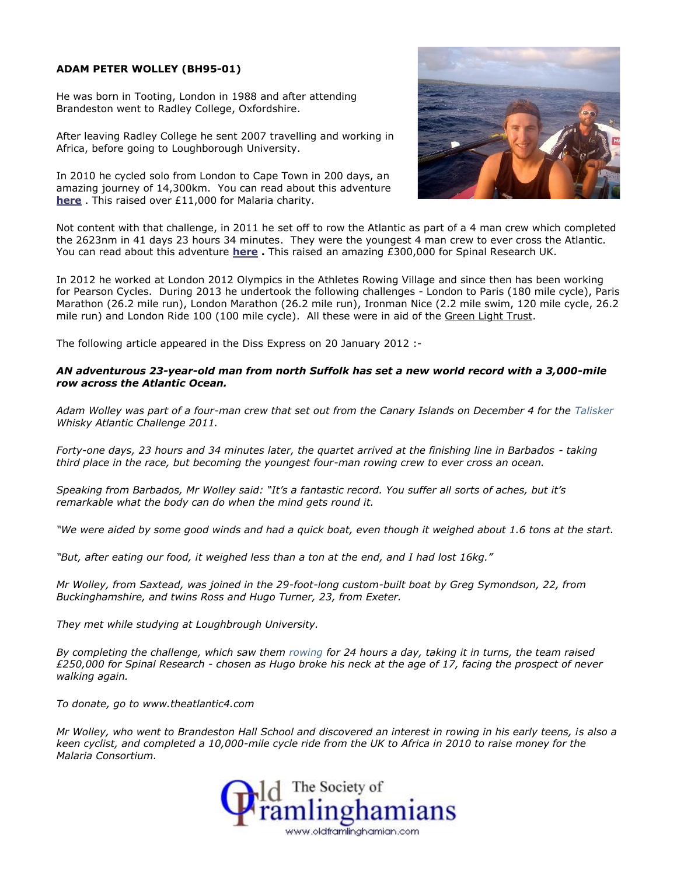## **ADAM PETER WOLLEY (BH95-01)**

He was born in Tooting, London in 1988 and after attending Brandeston went to Radley College, Oxfordshire.

After leaving Radley College he sent 2007 travelling and working in Africa, before going to Loughborough University.

In 2010 he cycled solo from London to Cape Town in 200 days, an amazing journey of 14,300km. You can read about this adventure **here** . This raised over £11,000 for Malaria charity.



Not content with that challenge, in 2011 he set off to row the Atlantic as part of a 4 man crew which completed the 2623nm in 41 days 23 hours 34 minutes. They were the youngest 4 man crew to ever cross the Atlantic. You can read about this adventure **here .** This raised an amazing £300,000 for Spinal Research UK.

In 2012 he worked at London 2012 Olympics in the Athletes Rowing Village and since then has been working for Pearson Cycles. During 2013 he undertook the following challenges - London to Paris (180 mile cycle), Paris Marathon (26.2 mile run), London Marathon (26.2 mile run), Ironman Nice (2.2 mile swim, 120 mile cycle, 26.2 mile run) and London Ride 100 (100 mile cycle). All these were in aid of the Green Light Trust.

The following article appeared in the Diss Express on 20 January 2012 :-

## *AN adventurous 23-year-old man from north Suffolk has set a new world record with a 3,000-mile row across the Atlantic Ocean.*

*Adam Wolley was part of a four-man crew that set out from the Canary Islands on December 4 for the Talisker Whisky Atlantic Challenge 2011.*

*Forty-one days, 23 hours and 34 minutes later, the quartet arrived at the finishing line in Barbados - taking third place in the race, but becoming the youngest four-man rowing crew to ever cross an ocean.*

*Speaking from Barbados, Mr Wolley said: "It's a fantastic record. You suffer all sorts of aches, but it's remarkable what the body can do when the mind gets round it.*

*"We were aided by some good winds and had a quick boat, even though it weighed about 1.6 tons at the start.*

*"But, after eating our food, it weighed less than a ton at the end, and I had lost 16kg."*

*Mr Wolley, from Saxtead, was joined in the 29-foot-long custom-built boat by Greg Symondson, 22, from Buckinghamshire, and twins Ross and Hugo Turner, 23, from Exeter.*

*They met while studying at Loughbrough University.*

*By completing the challenge, which saw them rowing for 24 hours a day, taking it in turns, the team raised £250,000 for Spinal Research - chosen as Hugo broke his neck at the age of 17, facing the prospect of never walking again.*

*To donate, go to www.theatlantic4.com*

*Mr Wolley, who went to Brandeston Hall School and discovered an interest in rowing in his early teens, is also a keen cyclist, and completed a 10,000-mile cycle ride from the UK to Africa in 2010 to raise money for the Malaria Consortium.*